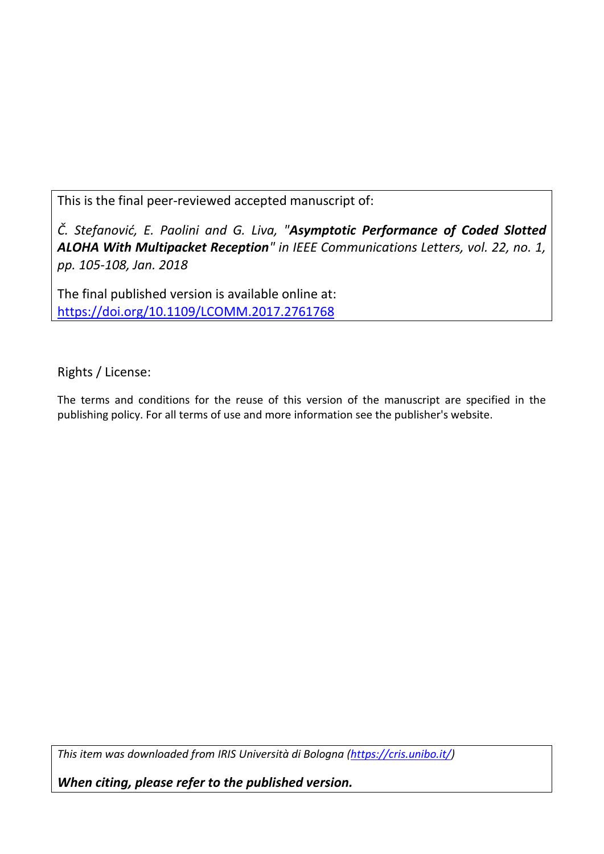This is the final peer-reviewed accepted manuscript of:

*Č. Stefanović, E. Paolini and G. Liva, "Asymptotic Performance of Coded Slotted ALOHA With Multipacket Reception" in IEEE Communications Letters, vol. 22, no. 1, pp. 105-108, Jan. 2018*

The final published version is available online at: <https://doi.org/10.1109/LCOMM.2017.2761768>

Rights / License:

The terms and conditions for the reuse of this version of the manuscript are specified in the publishing policy. For all terms of use and more information see the publisher's website.

*This item was downloaded from IRIS Università di Bologna [\(https://cris.unibo.it/\)](https://cris.unibo.it/)*

*When citing, please refer to the published version.*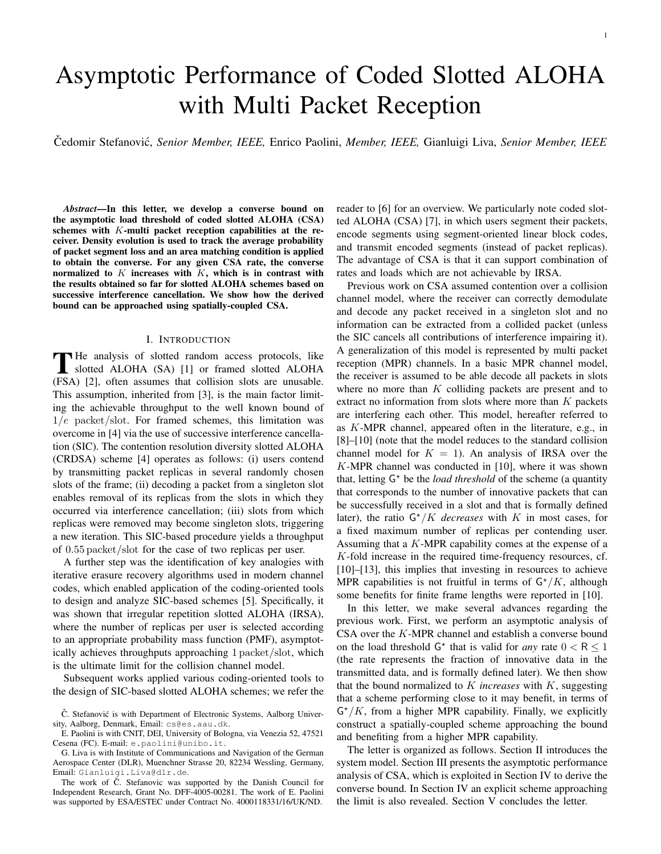# Asymptotic Performance of Coded Slotted ALOHA with Multi Packet Reception

Cedomir Stefanovi ˇ c,´ *Senior Member, IEEE,* Enrico Paolini, *Member, IEEE,* Gianluigi Liva, *Senior Member, IEEE*

*Abstract*—In this letter, we develop a converse bound on the asymptotic load threshold of coded slotted ALOHA (CSA) schemes with  $K$ -multi packet reception capabilities at the receiver. Density evolution is used to track the average probability of packet segment loss and an area matching condition is applied to obtain the converse. For any given CSA rate, the converse normalized to  $K$  increases with  $K$ , which is in contrast with the results obtained so far for slotted ALOHA schemes based on successive interference cancellation. We show how the derived bound can be approached using spatially-coupled CSA.

### I. INTRODUCTION

The analysis of slotted random access protocols, like<br>slotted ALOHA (SA) [1] or framed slotted ALOHA slotted ALOHA (SA) [1] or framed slotted ALOHA (FSA) [2], often assumes that collision slots are unusable. This assumption, inherited from [3], is the main factor limiting the achievable throughput to the well known bound of  $1/e$  packet/slot. For framed schemes, this limitation was overcome in [4] via the use of successive interference cancellation (SIC). The contention resolution diversity slotted ALOHA (CRDSA) scheme [4] operates as follows: (i) users contend by transmitting packet replicas in several randomly chosen slots of the frame; (ii) decoding a packet from a singleton slot enables removal of its replicas from the slots in which they occurred via interference cancellation; (iii) slots from which replicas were removed may become singleton slots, triggering a new iteration. This SIC-based procedure yields a throughput of 0.55 packet/slot for the case of two replicas per user.

A further step was the identification of key analogies with iterative erasure recovery algorithms used in modern channel codes, which enabled application of the coding-oriented tools to design and analyze SIC-based schemes [5]. Specifically, it was shown that irregular repetition slotted ALOHA (IRSA), where the number of replicas per user is selected according to an appropriate probability mass function (PMF), asymptotically achieves throughputs approaching 1 packet/slot, which is the ultimate limit for the collision channel model.

Subsequent works applied various coding-oriented tools to the design of SIC-based slotted ALOHA schemes; we refer the

The work of Č. Stefanovic was supported by the Danish Council for Independent Research, Grant No. DFF-4005-00281. The work of E. Paolini was supported by ESA/ESTEC under Contract No. 4000118331/16/UK/ND.

reader to [6] for an overview. We particularly note coded slotted ALOHA (CSA) [7], in which users segment their packets, encode segments using segment-oriented linear block codes, and transmit encoded segments (instead of packet replicas). The advantage of CSA is that it can support combination of rates and loads which are not achievable by IRSA.

Previous work on CSA assumed contention over a collision channel model, where the receiver can correctly demodulate and decode any packet received in a singleton slot and no information can be extracted from a collided packet (unless the SIC cancels all contributions of interference impairing it). A generalization of this model is represented by multi packet reception (MPR) channels. In a basic MPR channel model, the receiver is assumed to be able decode all packets in slots where no more than  $K$  colliding packets are present and to extract no information from slots where more than  $K$  packets are interfering each other. This model, hereafter referred to as K-MPR channel, appeared often in the literature, e.g., in [8]–[10] (note that the model reduces to the standard collision channel model for  $K = 1$ ). An analysis of IRSA over the K-MPR channel was conducted in [10], where it was shown that, letting G<sup>\*</sup> be the *load threshold* of the scheme (a quantity that corresponds to the number of innovative packets that can be successfully received in a slot and that is formally defined later), the ratio  $G^*/K$  *decreases* with K in most cases, for a fixed maximum number of replicas per contending user. Assuming that a K-MPR capability comes at the expense of a K-fold increase in the required time-frequency resources, cf. [10]–[13], this implies that investing in resources to achieve MPR capabilities is not fruitful in terms of  $G^*/K$ , although some benefits for finite frame lengths were reported in [10].

In this letter, we make several advances regarding the previous work. First, we perform an asymptotic analysis of CSA over the K-MPR channel and establish a converse bound on the load threshold  $G^*$  that is valid for *any* rate  $0 < R \le 1$ (the rate represents the fraction of innovative data in the transmitted data, and is formally defined later). We then show that the bound normalized to K *increases* with K, suggesting that a scheme performing close to it may benefit, in terms of  $G^*/K$ , from a higher MPR capability. Finally, we explicitly construct a spatially-coupled scheme approaching the bound and benefiting from a higher MPR capability.

The letter is organized as follows. Section II introduces the system model. Section III presents the asymptotic performance analysis of CSA, which is exploited in Section IV to derive the converse bound. In Section IV an explicit scheme approaching the limit is also revealed. Section V concludes the letter.

Č. Stefanović is with Department of Electronic Systems, Aalborg University, Aalborg, Denmark, Email: cs@es.aau.dk.

E. Paolini is with CNIT, DEI, University of Bologna, via Venezia 52, 47521 Cesena (FC). E-mail: e.paolini@unibo.it.

G. Liva is with Institute of Communications and Navigation of the German Aerospace Center (DLR), Muenchner Strasse 20, 82234 Wessling, Germany, Email: Gianluigi.Liva@dlr.de.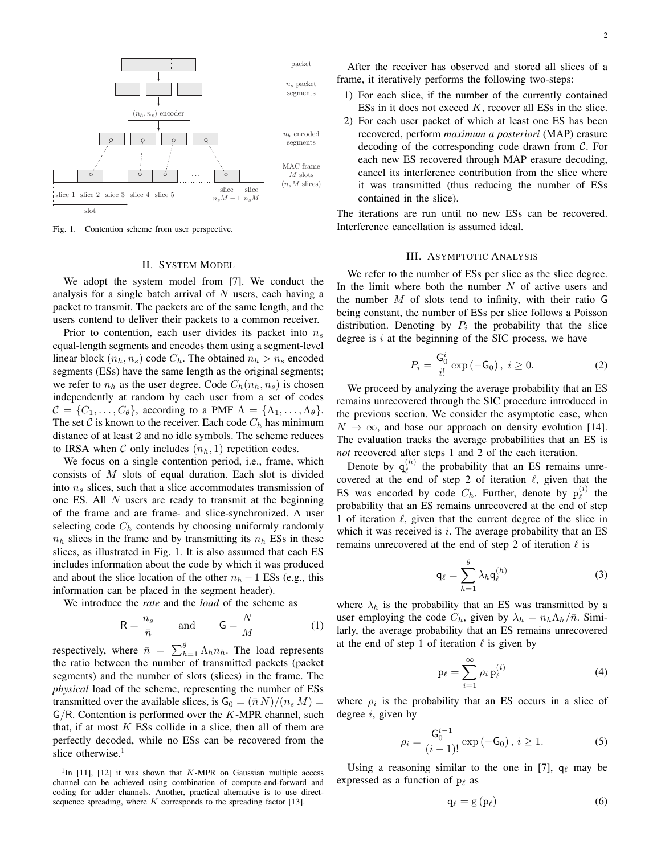

Fig. 1. Contention scheme from user perspective.

## II. SYSTEM MODEL

We adopt the system model from [7]. We conduct the analysis for a single batch arrival of  $N$  users, each having a packet to transmit. The packets are of the same length, and the users contend to deliver their packets to a common receiver.

Prior to contention, each user divides its packet into  $n<sub>s</sub>$ equal-length segments and encodes them using a segment-level linear block  $(n_h, n_s)$  code  $C_h$ . The obtained  $n_h > n_s$  encoded segments (ESs) have the same length as the original segments; we refer to  $n_h$  as the user degree. Code  $C_h(n_h, n_s)$  is chosen independently at random by each user from a set of codes  $C = \{C_1, \ldots, C_\theta\}$ , according to a PMF  $\Lambda = \{\Lambda_1, \ldots, \Lambda_\theta\}.$ The set C is known to the receiver. Each code  $C_h$  has minimum distance of at least 2 and no idle symbols. The scheme reduces to IRSA when C only includes  $(n_h, 1)$  repetition codes.

We focus on a single contention period, i.e., frame, which consists of M slots of equal duration. Each slot is divided into  $n<sub>s</sub>$  slices, such that a slice accommodates transmission of one ES. All  $N$  users are ready to transmit at the beginning of the frame and are frame- and slice-synchronized. A user selecting code  $C_h$  contends by choosing uniformly randomly  $n_h$  slices in the frame and by transmitting its  $n_h$  ESs in these slices, as illustrated in Fig. 1. It is also assumed that each ES includes information about the code by which it was produced and about the slice location of the other  $n_h - 1$  ESs (e.g., this information can be placed in the segment header).

We introduce the *rate* and the *load* of the scheme as

$$
R = \frac{n_s}{\bar{n}} \quad \text{and} \quad G = \frac{N}{M} \tag{1}
$$

respectively, where  $\bar{n} = \sum_{h=1}^{\theta} \Lambda_h n_h$ . The load represents the ratio between the number of transmitted packets (packet segments) and the number of slots (slices) in the frame. The *physical* load of the scheme, representing the number of ESs transmitted over the available slices, is  $G_0 = (\bar{n} N)/(n_s M)$  $G/R$ . Contention is performed over the  $K$ -MPR channel, such that, if at most  $K$  ESs collide in a slice, then all of them are perfectly decoded, while no ESs can be recovered from the slice otherwise.<sup>1</sup>

After the receiver has observed and stored all slices of a frame, it iteratively performs the following two-steps:

- 1) For each slice, if the number of the currently contained ESs in it does not exceed  $K$ , recover all ESs in the slice.
- 2) For each user packet of which at least one ES has been recovered, perform *maximum a posteriori* (MAP) erasure decoding of the corresponding code drawn from C. For each new ES recovered through MAP erasure decoding, cancel its interference contribution from the slice where it was transmitted (thus reducing the number of ESs contained in the slice).

The iterations are run until no new ESs can be recovered. Interference cancellation is assumed ideal.

#### III. ASYMPTOTIC ANALYSIS

We refer to the number of ESs per slice as the slice degree. In the limit where both the number  $N$  of active users and the number  $M$  of slots tend to infinity, with their ratio  $G$ being constant, the number of ESs per slice follows a Poisson distribution. Denoting by  $P_i$  the probability that the slice degree is  $i$  at the beginning of the SIC process, we have

$$
P_i = \frac{G_0^i}{i!} \exp(-G_0), \ i \ge 0.
$$
 (2)

We proceed by analyzing the average probability that an ES remains unrecovered through the SIC procedure introduced in the previous section. We consider the asymptotic case, when  $N \to \infty$ , and base our approach on density evolution [14]. The evaluation tracks the average probabilities that an ES is *not* recovered after steps 1 and 2 of the each iteration.

Denote by  $q_{\ell}^{(h)}$  $\ell^{(h)}$  the probability that an ES remains unrecovered at the end of step 2 of iteration  $\ell$ , given that the ES was encoded by code  $C_h$ . Further, denote by  $p_\ell^{(i)}$  $\ell^{(i)}$  the probability that an ES remains unrecovered at the end of step 1 of iteration  $\ell$ , given that the current degree of the slice in which it was received is  $i$ . The average probability that an ES remains unrecovered at the end of step 2 of iteration  $\ell$  is

$$
\mathbf{q}_{\ell} = \sum_{h=1}^{\theta} \lambda_h \mathbf{q}_{\ell}^{(h)} \tag{3}
$$

where  $\lambda_h$  is the probability that an ES was transmitted by a user employing the code  $C_h$ , given by  $\lambda_h = n_h \Lambda_h / \bar{n}$ . Similarly, the average probability that an ES remains unrecovered at the end of step 1 of iteration  $\ell$  is given by

$$
\mathbf{p}_{\ell} = \sum_{i=1}^{\infty} \rho_i \, \mathbf{p}_{\ell}^{(i)} \tag{4}
$$

where  $\rho_i$  is the probability that an ES occurs in a slice of degree  $i$ , given by

$$
\rho_i = \frac{G_0^{i-1}}{(i-1)!} \exp(-G_0), i \ge 1.
$$
 (5)

Using a reasoning similar to the one in [7],  $q_\ell$  may be expressed as a function of  $p_\ell$  as

$$
q_{\ell} = g(p_{\ell}) \tag{6}
$$

<sup>&</sup>lt;sup>1</sup>In [11], [12] it was shown that  $K$ -MPR on Gaussian multiple access channel can be achieved using combination of compute-and-forward and coding for adder channels. Another, practical alternative is to use directsequence spreading, where  $K$  corresponds to the spreading factor [13].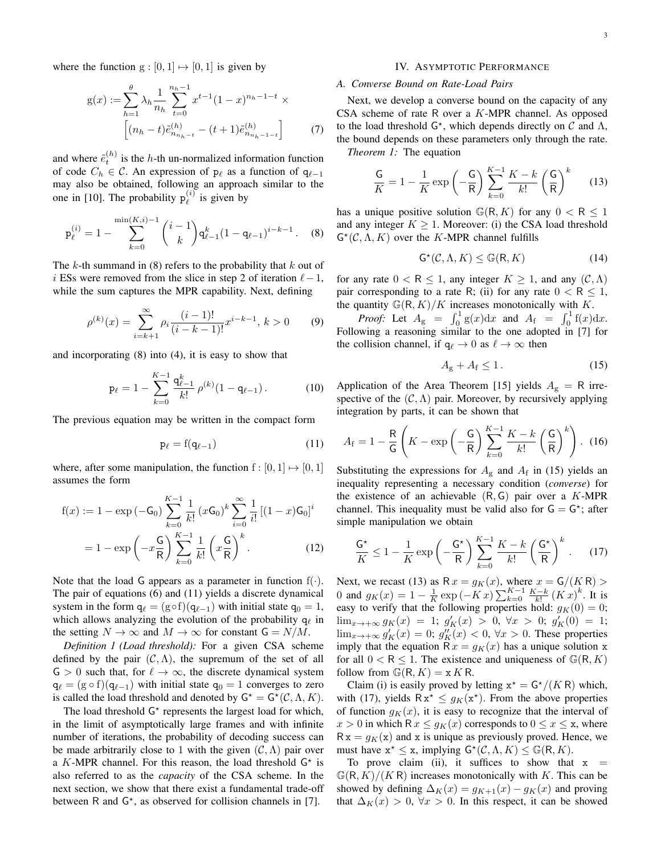where the function  $g : [0, 1] \mapsto [0, 1]$  is given by

$$
g(x) := \sum_{h=1}^{\theta} \lambda_h \frac{1}{n_h} \sum_{t=0}^{n_h - 1} x^{t-1} (1-x)^{n_h - 1-t} \times \left[ (n_h - t) \tilde{e}_{n_{n_h - t}}^{(h)} - (t+1) \tilde{e}_{n_{n_h - 1 - t}}^{(h)} \right] \tag{7}
$$

and where  $\tilde{e}_t^{(h)}$  is the h-th un-normalized information function of code  $C_h$  ∈ C. An expression of  $p_\ell$  as a function of  $q_{\ell-1}$ may also be obtained, following an approach similar to the one in [10]. The probability  $p_{\ell}^{(i)}$  $\binom{v}{\ell}$  is given by

$$
\mathbf{p}_{\ell}^{(i)} = 1 - \sum_{k=0}^{\min(K,i)-1} {i-1 \choose k} \mathbf{q}_{\ell-1}^k (1 - \mathbf{q}_{\ell-1})^{i-k-1}.
$$
 (8)

The  $k$ -th summand in (8) refers to the probability that  $k$  out of i ESs were removed from the slice in step 2 of iteration  $\ell-1$ , while the sum captures the MPR capability. Next, defining

$$
\rho^{(k)}(x) = \sum_{i=k+1}^{\infty} \rho_i \frac{(i-1)!}{(i-k-1)!} x^{i-k-1}, \, k > 0 \tag{9}
$$

and incorporating (8) into (4), it is easy to show that

$$
\mathbf{p}_{\ell} = 1 - \sum_{k=0}^{K-1} \frac{\mathbf{q}_{\ell-1}^k}{k!} \rho^{(k)} (1 - \mathbf{q}_{\ell-1}). \tag{10}
$$

The previous equation may be written in the compact form

$$
\mathbf{p}_{\ell} = \mathbf{f}(\mathbf{q}_{\ell-1}) \tag{11}
$$

where, after some manipulation, the function  $f : [0, 1] \mapsto [0, 1]$ assumes the form

$$
f(x) := 1 - \exp(-G_0) \sum_{k=0}^{K-1} \frac{1}{k!} (xG_0)^k \sum_{i=0}^{\infty} \frac{1}{i!} [(1-x)G_0]^i
$$

$$
= 1 - \exp\left(-x\frac{G}{R}\right) \sum_{k=0}^{K-1} \frac{1}{k!} \left(x\frac{G}{R}\right)^k.
$$
(12)

Note that the load G appears as a parameter in function  $f(\cdot)$ . The pair of equations (6) and (11) yields a discrete dynamical system in the form  $q_\ell = (g \circ f)(q_{\ell-1})$  with initial state  $q_0 = 1$ , which allows analyzing the evolution of the probability  $q_\ell$  in the setting  $N \to \infty$  and  $M \to \infty$  for constant  $G = N/M$ .

*Definition 1 (Load threshold):* For a given CSA scheme defined by the pair  $(C, \Lambda)$ , the supremum of the set of all  $G > 0$  such that, for  $\ell \to \infty$ , the discrete dynamical system  $q_\ell = (g \circ f)(q_{\ell-1})$  with initial state  $q_0 = 1$  converges to zero is called the load threshold and denoted by  $G^* = G^*(C, \Lambda, K)$ .

The load threshold  $G^*$  represents the largest load for which, in the limit of asymptotically large frames and with infinite number of iterations, the probability of decoding success can be made arbitrarily close to 1 with the given  $(C, \Lambda)$  pair over a K-MPR channel. For this reason, the load threshold  $G^*$  is also referred to as the *capacity* of the CSA scheme. In the next section, we show that there exist a fundamental trade-off between R and  $G^*$ , as observed for collision channels in [7].

#### IV. ASYMPTOTIC PERFORMANCE

# *A. Converse Bound on Rate-Load Pairs*

Next, we develop a converse bound on the capacity of any CSA scheme of rate R over a K-MPR channel. As opposed to the load threshold  $G^*$ , which depends directly on  $C$  and  $\Lambda$ , the bound depends on these parameters only through the rate. *Theorem 1:* The equation

$$
\frac{\mathsf{G}}{K} = 1 - \frac{1}{K} \exp\left(-\frac{\mathsf{G}}{\mathsf{R}}\right) \sum_{k=0}^{K-1} \frac{K-k}{k!} \left(\frac{\mathsf{G}}{\mathsf{R}}\right)^k \tag{13}
$$

has a unique positive solution  $\mathbb{G}(\mathsf{R}, K)$  for any  $0 < \mathsf{R} \leq 1$ and any integer  $K \geq 1$ . Moreover: (i) the CSA load threshold  $G^{\star}(\mathcal{C}, \Lambda, K)$  over the K-MPR channel fulfills

$$
\mathsf{G}^{\star}(\mathcal{C}, \Lambda, K) \leq \mathbb{G}(\mathsf{R}, K) \tag{14}
$$

for any rate  $0 < R \le 1$ , any integer  $K \ge 1$ , and any  $(C, \Lambda)$ pair corresponding to a rate R; (ii) for any rate  $0 < R < 1$ , the quantity  $\mathbb{G}(\mathsf{R},K)/K$  increases monotonically with K.

*Proof:* Let  $A_g = \int_0^1 g(x) dx$  and  $A_f = \int_0^1 f(x) dx$ . Following a reasoning similar to the one adopted in [7] for the collision channel, if  $q_\ell \to 0$  as  $\ell \to \infty$  then

$$
A_{\rm g} + A_{\rm f} \le 1. \tag{15}
$$

Application of the Area Theorem [15] yields  $A_{\rm g} = R$  irrespective of the  $(C, \Lambda)$  pair. Moreover, by recursively applying integration by parts, it can be shown that

$$
A_{\rm f} = 1 - \frac{\rm R}{\rm G} \left( K - \exp\left( -\frac{\rm G}{\rm R} \right) \sum_{k=0}^{K-1} \frac{K-k}{k!} \left( \frac{\rm G}{\rm R} \right)^k \right). \tag{16}
$$

Substituting the expressions for  $A<sub>g</sub>$  and  $A<sub>f</sub>$  in (15) yields an inequality representing a necessary condition (*converse*) for the existence of an achievable  $(R, G)$  pair over a K-MPR channel. This inequality must be valid also for  $G = G^*$ ; after simple manipulation we obtain

$$
\frac{\mathsf{G}^{\star}}{K} \le 1 - \frac{1}{K} \exp\left(-\frac{\mathsf{G}^{\star}}{\mathsf{R}}\right) \sum_{k=0}^{K-1} \frac{K-k}{k!} \left(\frac{\mathsf{G}^{\star}}{\mathsf{R}}\right)^k. \tag{17}
$$

Next, we recast (13) as  $R x = g_K(x)$ , where  $x = G/(K R)$ 0 and  $g_K(x) = 1 - \frac{1}{K} \exp(-Kx) \sum_{k=0}^{K-1} \frac{K-k}{k!} (Kx)^k$ . It is easy to verify that the following properties hold:  $g_K(0) = 0$ ;  $\lim_{x \to +\infty} g_K(x) = 1$ ;  $g'_K(x) > 0$ ,  $\forall x > 0$ ;  $g'_K(0) = 1$ ;  $\lim_{x \to +\infty} g'_K(x) = 0$ ;  $g''_K(x) < 0$ ,  $\forall x > 0$ . These properties imply that the equation  $R x = g_K(x)$  has a unique solution x for all  $0 < R \leq 1$ . The existence and uniqueness of  $\mathbb{G}(\mathsf{R}, K)$ follow from  $\mathbb{G}(\mathsf{R}, K) = \mathsf{x} K \mathsf{R}$ .

Claim (i) is easily proved by letting  $x^* = G^*/(K R)$  which, with (17), yields  $Rx^* \leq g_K(x^*)$ . From the above properties of function  $g_K(x)$ , it is easy to recognize that the interval of  $x > 0$  in which R  $x \leq g_K(x)$  corresponds to  $0 \leq x \leq x$ , where  $Rx = q_K(x)$  and x is unique as previously proved. Hence, we must have  $x^* \le x$ , implying  $G^*(C, \Lambda, K) \le G(R, K)$ .

To prove claim (ii), it suffices to show that  $x =$  $\mathbb{G}(\mathsf{R},K)/(K\mathsf{R})$  increases monotonically with K. This can be showed by defining  $\Delta_K(x) = g_{K+1}(x) - g_K(x)$  and proving that  $\Delta_K(x) > 0$ ,  $\forall x > 0$ . In this respect, it can be showed